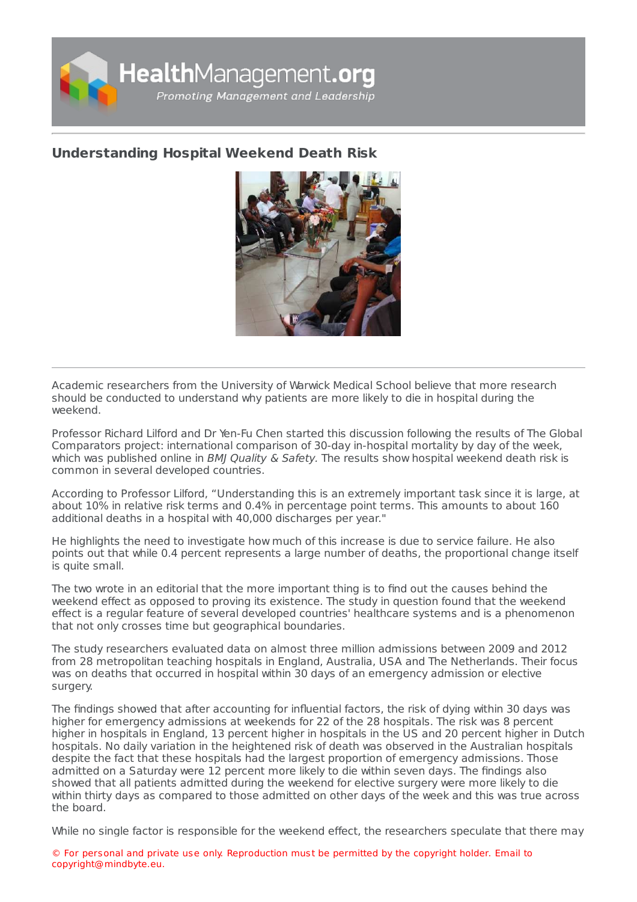

## **[Understanding](https://healthmanagement.org/s/understanding-hospital-weekend-death-risk) Hospital Weekend Death Risk**



Academic researchers from the University of Warwick Medical School believe that more research should be conducted to understand why patients are more likely to die in hospital during the weekend.

Professor Richard Lilford and Dr Yen-Fu Chen started this discussion following the results of The Global Comparators project: international comparison of 30-day in-hospital mortality by day of the week, which was published online in BMJ Quality & Safety. The results show hospital weekend death risk is common in several developed countries.

According to Professor Lilford, "Understanding this is an extremely important task since it is large, at about 10% in relative risk terms and 0.4% in percentage point terms. This amounts to about 160 additional deaths in a hospital with 40,000 discharges per year."

He highlights the need to investigate how much of this increase is due to service failure. He also points out that while 0.4 percent represents a large number of deaths, the proportional change itself is quite small.

The two wrote in an editorial that the more important thing is to find out the causes behind the weekend effect as opposed to proving its existence. The study in question found that the weekend effect is a regular feature of several developed countries' healthcare systems and is a phenomenon that not only crosses time but geographical boundaries.

The study researchers evaluated data on almost three million admissions between 2009 and 2012 from 28 metropolitan teaching hospitals in England, Australia, USA and The Netherlands. Their focus was on deaths that occurred in hospital within 30 days of an emergency admission or elective surgery.

The findings showed that after accounting for influential factors, the risk of dying within 30 days was higher for emergency admissions at weekends for 22 of the 28 hospitals. The risk was 8 percent higher in hospitals in England, 13 percent higher in hospitals in the US and 20 percent higher in Dutch hospitals. No daily variation in the heightened risk of death was observed in the Australian hospitals despite the fact that these hospitals had the largest proportion of emergency admissions. Those admitted on a Saturday were 12 percent more likely to die within seven days. The findings also showed that all patients admitted during the weekend for elective surgery were more likely to die within thirty days as compared to those admitted on other days of the week and this was true across the board.

While no single factor is responsible for the weekend effect, the researchers speculate that there may

© For personal and private use only. Reproduction must be permitted by the copyright holder. Email to copyright@mindbyte.eu.